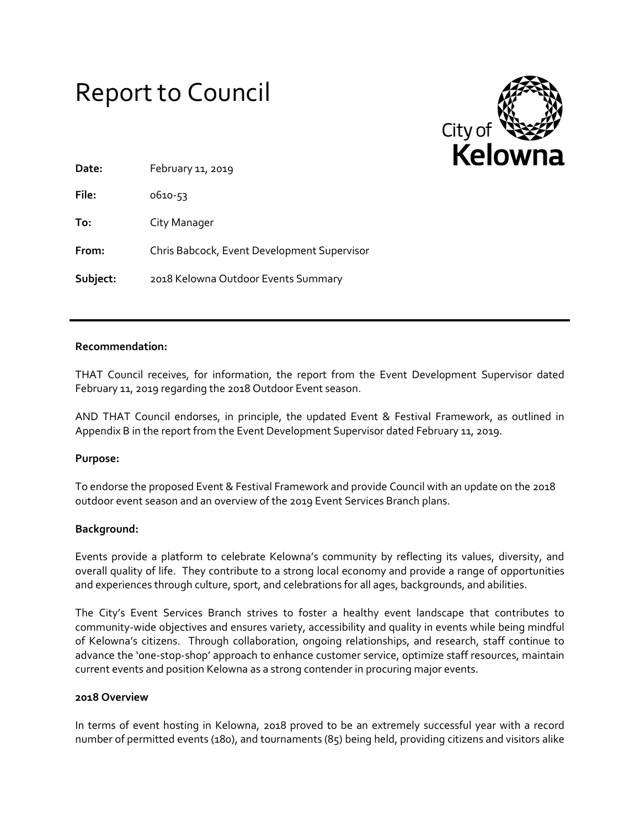# Report to Council



| Date:    | February 11, 2019                           |
|----------|---------------------------------------------|
| File:    | 0610-53                                     |
| To:      | City Manager                                |
| From:    | Chris Babcock, Event Development Supervisor |
| Subject: | 2018 Kelowna Outdoor Events Summary         |

## **Recommendation:**

THAT Council receives, for information, the report from the Event Development Supervisor dated February 11, 2019 regarding the 2018 Outdoor Event season.

AND THAT Council endorses, in principle, the updated Event & Festival Framework, as outlined in Appendix B in the report from the Event Development Supervisor dated February 11, 2019.

# **Purpose:**

To endorse the proposed Event & Festival Framework and provide Council with an update on the 2018 outdoor event season and an overview of the 2019 Event Services Branch plans.

#### **Background:**

Events provide a platform to celebrate Kelowna's community by reflecting its values, diversity, and overall quality of life. They contribute to a strong local economy and provide a range of opportunities and experiences through culture, sport, and celebrations for all ages, backgrounds, and abilities.

The City's Event Services Branch strives to foster a healthy event landscape that contributes to community-wide objectives and ensures variety, accessibility and quality in events while being mindful of Kelowna's citizens. Through collaboration, ongoing relationships, and research, staff continue to advance the 'one-stop-shop' approach to enhance customer service, optimize staff resources, maintain current events and position Kelowna as a strong contender in procuring major events.

#### **2018 Overview**

In terms of event hosting in Kelowna, 2018 proved to be an extremely successful year with a record number of permitted events (180), and tournaments (85) being held, providing citizens and visitors alike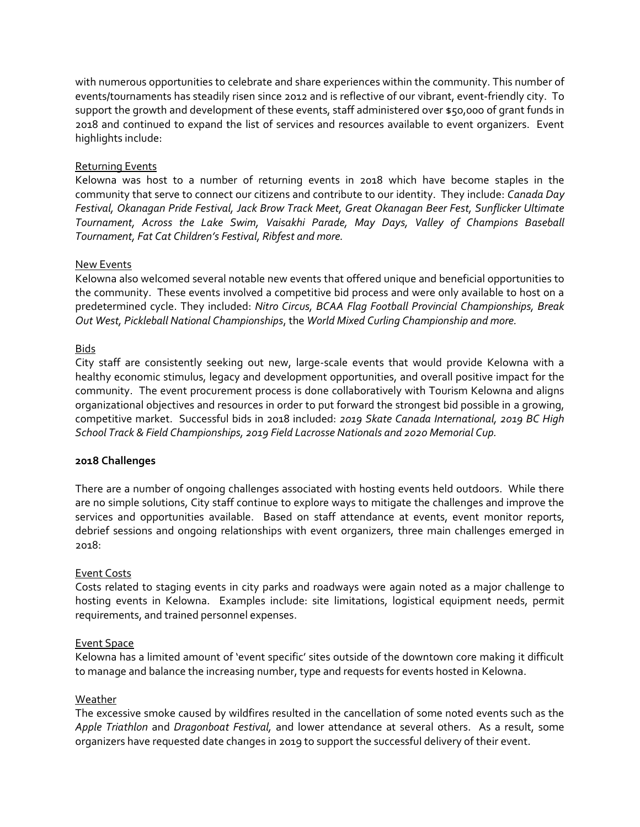with numerous opportunities to celebrate and share experiences within the community. This number of events/tournaments has steadily risen since 2012 and is reflective of our vibrant, event-friendly city. To support the growth and development of these events, staff administered over \$5o,00o of grant funds in 2018 and continued to expand the list of services and resources available to event organizers. Event highlights include:

# Returning Events

Kelowna was host to a number of returning events in 2018 which have become staples in the community that serve to connect our citizens and contribute to our identity. They include: *Canada Day Festival, Okanagan Pride Festival, Jack Brow Track Meet, Great Okanagan Beer Fest, Sunflicker Ultimate Tournament, Across the Lake Swim, Vaisakhi Parade, May Days, Valley of Champions Baseball Tournament, Fat Cat Children's Festival, Ribfest and more.*

## New Events

Kelowna also welcomed several notable new events that offered unique and beneficial opportunities to the community. These events involved a competitive bid process and were only available to host on a predetermined cycle. They included: *Nitro Circus, BCAA Flag Football Provincial Championships, Break Out West, Pickleball National Championships*, the *World Mixed Curling Championship and more.* 

# Bids

City staff are consistently seeking out new, large-scale events that would provide Kelowna with a healthy economic stimulus, legacy and development opportunities, and overall positive impact for the community. The event procurement process is done collaboratively with Tourism Kelowna and aligns organizational objectives and resources in order to put forward the strongest bid possible in a growing, competitive market. Successful bids in 2018 included: *2019 Skate Canada International, 2019 BC High School Track & Field Championships, 2019 Field Lacrosse Nationals and 2020 Memorial Cup.*

# **2018 Challenges**

There are a number of ongoing challenges associated with hosting events held outdoors. While there are no simple solutions, City staff continue to explore ways to mitigate the challenges and improve the services and opportunities available. Based on staff attendance at events, event monitor reports, debrief sessions and ongoing relationships with event organizers, three main challenges emerged in 2018:

# Event Costs

Costs related to staging events in city parks and roadways were again noted as a major challenge to hosting events in Kelowna. Examples include: site limitations, logistical equipment needs, permit requirements, and trained personnel expenses.

# Event Space

Kelowna has a limited amount of 'event specific' sites outside of the downtown core making it difficult to manage and balance the increasing number, type and requests for events hosted in Kelowna.

# Weather

The excessive smoke caused by wildfires resulted in the cancellation of some noted events such as the *Apple Triathlon* and *Dragonboat Festival,* and lower attendance at several others. As a result, some organizers have requested date changes in 2019 to support the successful delivery of their event.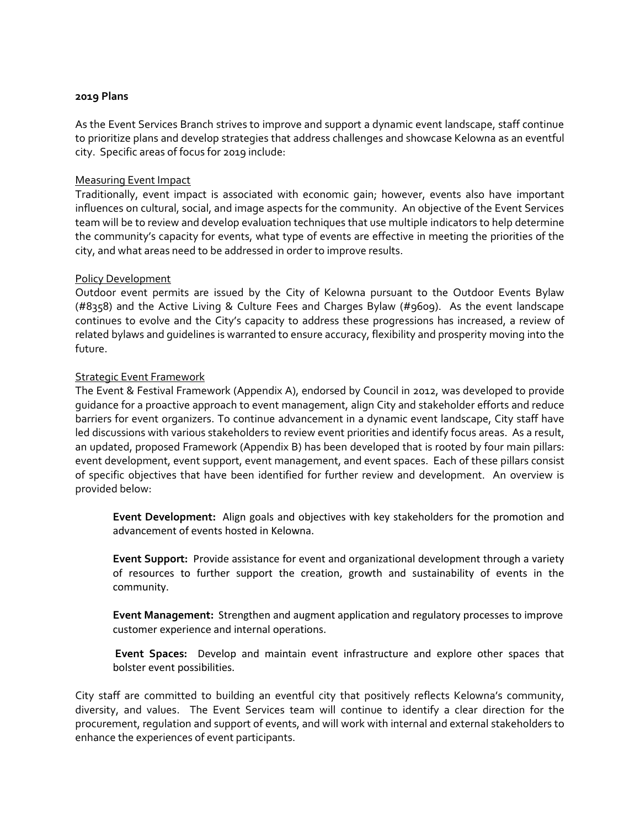#### **2019 Plans**

As the Event Services Branch strives to improve and support a dynamic event landscape, staff continue to prioritize plans and develop strategies that address challenges and showcase Kelowna as an eventful city. Specific areas of focus for 2019 include:

#### Measuring Event Impact

Traditionally, event impact is associated with economic gain; however, events also have important influences on cultural, social, and image aspects for the community. An objective of the Event Services team will be to review and develop evaluation techniques that use multiple indicators to help determine the community's capacity for events, what type of events are effective in meeting the priorities of the city, and what areas need to be addressed in order to improve results.

#### Policy Development

Outdoor event permits are issued by the City of Kelowna pursuant to the Outdoor Events Bylaw (#8358) and the Active Living & Culture Fees and Charges Bylaw (#9609). As the event landscape continues to evolve and the City's capacity to address these progressions has increased, a review of related bylaws and guidelines is warranted to ensure accuracy, flexibility and prosperity moving into the future.

#### Strategic Event Framework

The Event & Festival Framework (Appendix A), endorsed by Council in 2012, was developed to provide guidance for a proactive approach to event management, align City and stakeholder efforts and reduce barriers for event organizers. To continue advancement in a dynamic event landscape, City staff have led discussions with various stakeholders to review event priorities and identify focus areas. As a result, an updated, proposed Framework (Appendix B) has been developed that is rooted by four main pillars: event development, event support, event management, and event spaces. Each of these pillars consist of specific objectives that have been identified for further review and development. An overview is provided below:

**Event Development:** Align goals and objectives with key stakeholders for the promotion and advancement of events hosted in Kelowna.

**Event Support:** Provide assistance for event and organizational development through a variety of resources to further support the creation, growth and sustainability of events in the community.

**Event Management:** Strengthen and augment application and regulatory processes to improve customer experience and internal operations.

**Event Spaces:** Develop and maintain event infrastructure and explore other spaces that bolster event possibilities.

City staff are committed to building an eventful city that positively reflects Kelowna's community, diversity, and values. The Event Services team will continue to identify a clear direction for the procurement, regulation and support of events, and will work with internal and external stakeholders to enhance the experiences of event participants.